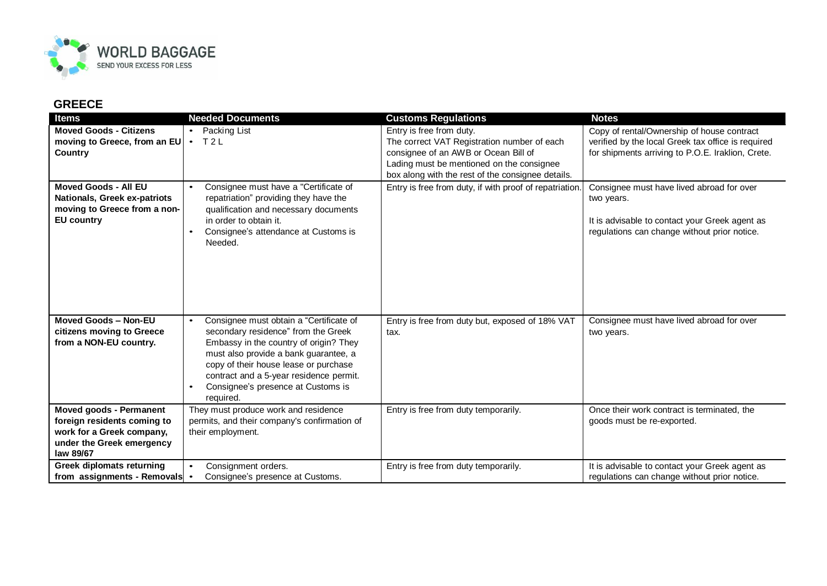

## **GREECE**

| <b>Items</b>                                                                                                                         | <b>Needed Documents</b>                                                                                                                                                                                                                                                                                               | <b>Customs Regulations</b>                                                                                                                                                                                        | <b>Notes</b>                                                                                                                                              |
|--------------------------------------------------------------------------------------------------------------------------------------|-----------------------------------------------------------------------------------------------------------------------------------------------------------------------------------------------------------------------------------------------------------------------------------------------------------------------|-------------------------------------------------------------------------------------------------------------------------------------------------------------------------------------------------------------------|-----------------------------------------------------------------------------------------------------------------------------------------------------------|
| <b>Moved Goods - Citizens</b><br>moving to Greece, from an EU<br>Country                                                             | Packing List<br>$\bullet$<br>T2L<br>$\bullet$                                                                                                                                                                                                                                                                         | Entry is free from duty.<br>The correct VAT Registration number of each<br>consignee of an AWB or Ocean Bill of<br>Lading must be mentioned on the consignee<br>box along with the rest of the consignee details. | Copy of rental/Ownership of house contract<br>verified by the local Greek tax office is required<br>for shipments arriving to P.O.E. Iraklion, Crete.     |
| <b>Moved Goods - All EU</b><br>Nationals, Greek ex-patriots<br>moving to Greece from a non-<br><b>EU country</b>                     | Consignee must have a "Certificate of<br>repatriation" providing they have the<br>qualification and necessary documents<br>in order to obtain it.<br>Consignee's attendance at Customs is<br>Needed.                                                                                                                  | Entry is free from duty, if with proof of repatriation.                                                                                                                                                           | Consignee must have lived abroad for over<br>two years.<br>It is advisable to contact your Greek agent as<br>regulations can change without prior notice. |
| Moved Goods - Non-EU<br>citizens moving to Greece<br>from a NON-EU country.                                                          | Consignee must obtain a "Certificate of<br>secondary residence" from the Greek<br>Embassy in the country of origin? They<br>must also provide a bank guarantee, a<br>copy of their house lease or purchase<br>contract and a 5-year residence permit.<br>Consignee's presence at Customs is<br>$\bullet$<br>required. | Entry is free from duty but, exposed of 18% VAT<br>tax.                                                                                                                                                           | Consignee must have lived abroad for over<br>two years.                                                                                                   |
| <b>Moved goods - Permanent</b><br>foreign residents coming to<br>work for a Greek company,<br>under the Greek emergency<br>law 89/67 | They must produce work and residence<br>permits, and their company's confirmation of<br>their employment.                                                                                                                                                                                                             | Entry is free from duty temporarily.                                                                                                                                                                              | Once their work contract is terminated, the<br>goods must be re-exported.                                                                                 |
| <b>Greek diplomats returning</b><br>from assignments - Removals                                                                      | Consignment orders.<br>Consignee's presence at Customs.<br>$\bullet$                                                                                                                                                                                                                                                  | Entry is free from duty temporarily.                                                                                                                                                                              | It is advisable to contact your Greek agent as<br>regulations can change without prior notice.                                                            |